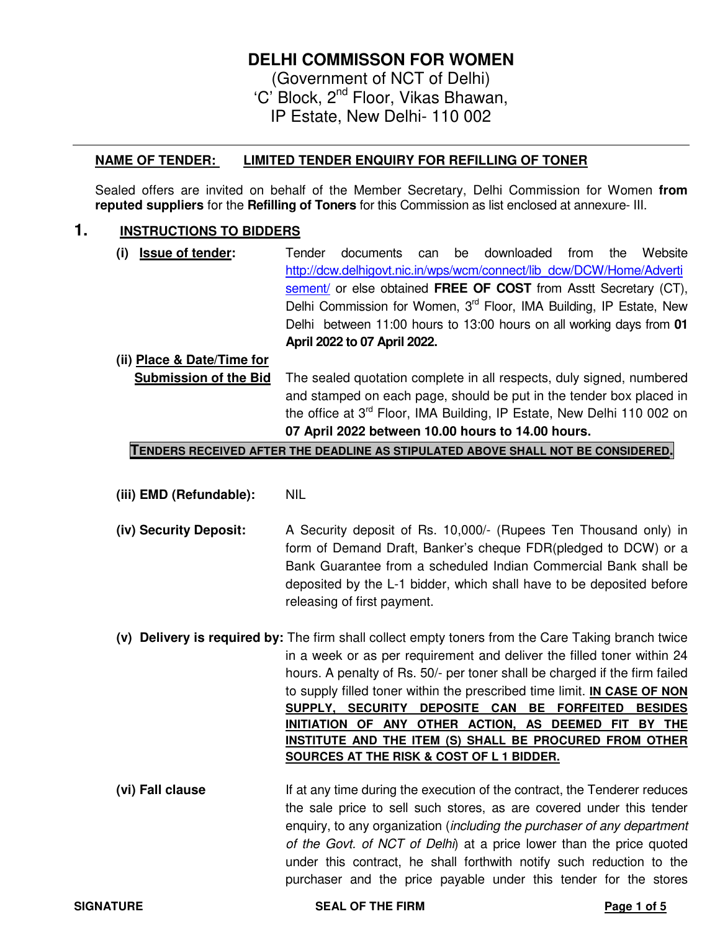## **DELHI COMMISSON FOR WOMEN**

(Government of NCT of Delhi) 'C' Block, 2nd Floor, Vikas Bhawan, IP Estate, New Delhi- 110 002

### **NAME OF TENDER: LIMITED TENDER ENQUIRY FOR REFILLING OF TONER**

Sealed offers are invited on behalf of the Member Secretary, Delhi Commission for Women **from reputed suppliers** for the **Refilling of Toners** for this Commission as list enclosed at annexure- III.

### **1. INSTRUCTIONS TO BIDDERS**

**(i) Issue of tender:** Tender documents can be downloaded from the Website http://dcw.delhigovt.nic.in/wps/wcm/connect/lib\_dcw/DCW/Home/Adverti sement/ or else obtained **FREE OF COST** from Asstt Secretary (CT), Delhi Commission for Women, 3<sup>rd</sup> Floor, IMA Building, IP Estate, New Delhi between 11:00 hours to 13:00 hours on all working days from **01 April 2022 to 07 April 2022.** 

#### **(ii) Place & Date/Time for**

**Submission of the Bid** The sealed quotation complete in all respects, duly signed, numbered and stamped on each page, should be put in the tender box placed in the office at 3<sup>rd</sup> Floor, IMA Building, IP Estate, New Delhi 110 002 on **07 April 2022 between 10.00 hours to 14.00 hours.** 

#### **TENDERS RECEIVED AFTER THE DEADLINE AS STIPULATED ABOVE SHALL NOT BE CONSIDERED.**

- **(iii) EMD (Refundable):** NIL
- **(iv) Security Deposit:** A Security deposit of Rs. 10,000/- (Rupees Ten Thousand only) in form of Demand Draft, Banker's cheque FDR(pledged to DCW) or a Bank Guarantee from a scheduled Indian Commercial Bank shall be deposited by the L-1 bidder, which shall have to be deposited before releasing of first payment.
- **(v) Delivery is required by:** The firm shall collect empty toners from the Care Taking branch twice in a week or as per requirement and deliver the filled toner within 24 hours. A penalty of Rs. 50/- per toner shall be charged if the firm failed to supply filled toner within the prescribed time limit. **IN CASE OF NON SUPPLY, SECURITY DEPOSITE CAN BE FORFEITED BESIDES INITIATION OF ANY OTHER ACTION, AS DEEMED FIT BY THE INSTITUTE AND THE ITEM (S) SHALL BE PROCURED FROM OTHER SOURCES AT THE RISK & COST OF L 1 BIDDER.**
- **(vi) Fall clause** If at any time during the execution of the contract, the Tenderer reduces the sale price to sell such stores, as are covered under this tender enquiry, to any organization (including the purchaser of any department of the Govt. of NCT of Delhi) at a price lower than the price quoted under this contract, he shall forthwith notify such reduction to the purchaser and the price payable under this tender for the stores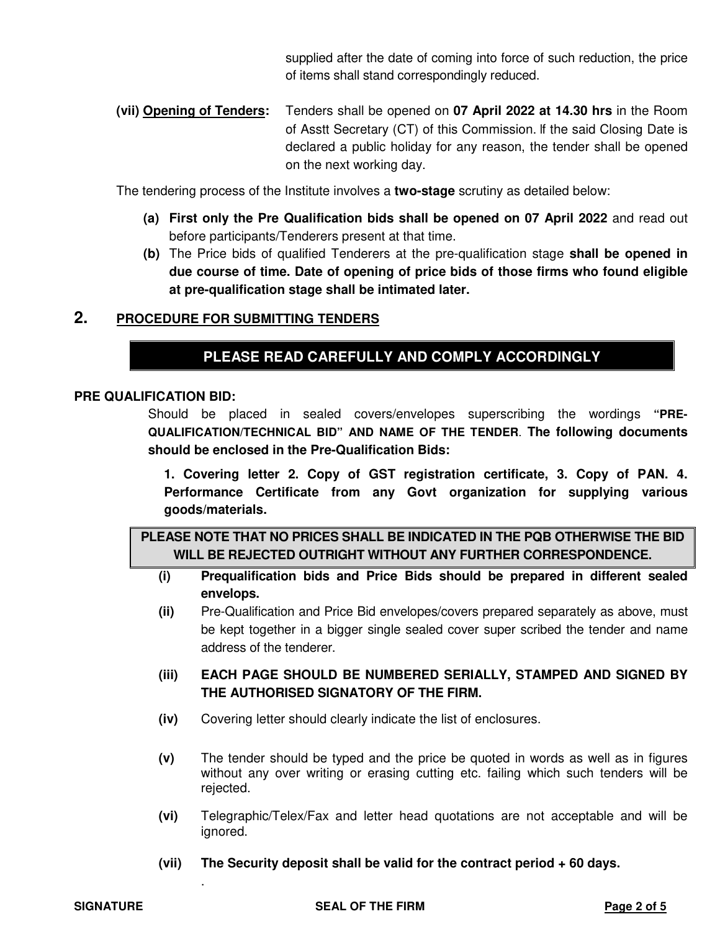supplied after the date of coming into force of such reduction, the price of items shall stand correspondingly reduced.

**(vii) Opening of Tenders:** Tenders shall be opened on **07 April 2022 at 14.30 hrs** in the Room of Asstt Secretary (CT) of this Commission. If the said Closing Date is declared a public holiday for any reason, the tender shall be opened on the next working day.

The tendering process of the Institute involves a **two-stage** scrutiny as detailed below:

- **(a) First only the Pre Qualification bids shall be opened on 07 April 2022** and read out before participants/Tenderers present at that time.
- **(b)** The Price bids of qualified Tenderers at the pre-qualification stage **shall be opened in due course of time. Date of opening of price bids of those firms who found eligible at pre-qualification stage shall be intimated later.**

## **2. PROCEDURE FOR SUBMITTING TENDERS**

## **PLEASE READ CAREFULLY AND COMPLY ACCORDINGLY**

#### **PRE QUALIFICATION BID:**

Should be placed in sealed covers/envelopes superscribing the wordings **"PRE-QUALIFICATION/TECHNICAL BID" AND NAME OF THE TENDER**. **The following documents should be enclosed in the Pre-Qualification Bids:** 

**1. Covering letter 2. Copy of GST registration certificate, 3. Copy of PAN. 4. Performance Certificate from any Govt organization for supplying various goods/materials.** 

**PLEASE NOTE THAT NO PRICES SHALL BE INDICATED IN THE PQB OTHERWISE THE BID WILL BE REJECTED OUTRIGHT WITHOUT ANY FURTHER CORRESPONDENCE.** 

- **(i) Prequalification bids and Price Bids should be prepared in different sealed envelops.** 
	- **(ii)** Pre-Qualification and Price Bid envelopes/covers prepared separately as above, must be kept together in a bigger single sealed cover super scribed the tender and name address of the tenderer.
	- **(iii) EACH PAGE SHOULD BE NUMBERED SERIALLY, STAMPED AND SIGNED BY THE AUTHORISED SIGNATORY OF THE FIRM.**
	- **(iv)** Covering letter should clearly indicate the list of enclosures.
	- **(v)** The tender should be typed and the price be quoted in words as well as in figures without any over writing or erasing cutting etc. failing which such tenders will be rejected.
	- **(vi)** Telegraphic/Telex/Fax and letter head quotations are not acceptable and will be ignored.
	- **(vii) The Security deposit shall be valid for the contract period + 60 days.**

.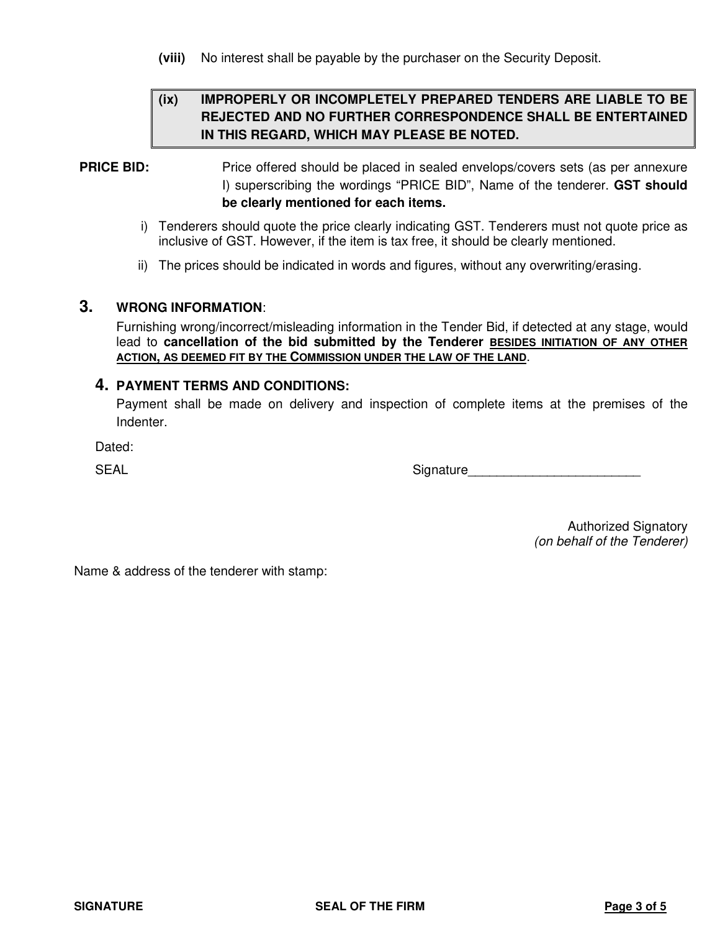**(viii)** No interest shall be payable by the purchaser on the Security Deposit.

## **(ix) IMPROPERLY OR INCOMPLETELY PREPARED TENDERS ARE LIABLE TO BE REJECTED AND NO FURTHER CORRESPONDENCE SHALL BE ENTERTAINED IN THIS REGARD, WHICH MAY PLEASE BE NOTED.**

## **PRICE BID:** Price offered should be placed in sealed envelops/covers sets (as per annexure I) superscribing the wordings "PRICE BID", Name of the tenderer. **GST should be clearly mentioned for each items.**

- i) Tenderers should quote the price clearly indicating GST. Tenderers must not quote price as inclusive of GST. However, if the item is tax free, it should be clearly mentioned.
- ii) The prices should be indicated in words and figures, without any overwriting/erasing.

#### **3. WRONG INFORMATION**:

Furnishing wrong/incorrect/misleading information in the Tender Bid, if detected at any stage, would lead to **cancellation of the bid submitted by the Tenderer BESIDES INITIATION OF ANY OTHER ACTION, AS DEEMED FIT BY THE COMMISSION UNDER THE LAW OF THE LAND**.

#### **4. PAYMENT TERMS AND CONDITIONS:**

Payment shall be made on delivery and inspection of complete items at the premises of the Indenter.

Dated:

SEAL SEAL SEAL SEAL SUITS AND SUITS AND SUITS AND SUITS AND SUITS AND SUITS AND SUITS AND SUITS AND SUITS AND SUITS AND SUITS AND SUITS AND SUITS AND SUITS AND SUITS AND SUITS AND LOTS AND LOTS AND LOTS AND LOTS AND LOTS A

Authorized Signatory (on behalf of the Tenderer)

Name & address of the tenderer with stamp: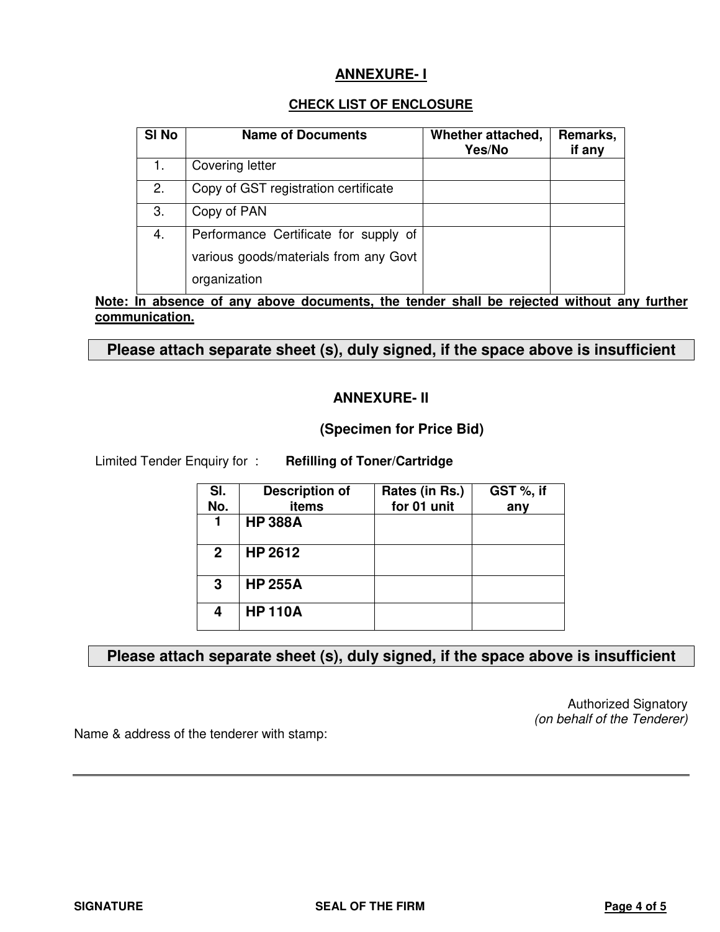## **ANNEXURE- I**

### **CHECK LIST OF ENCLOSURE**

| SI <sub>No</sub> | <b>Name of Documents</b>              | Whether attached,<br>Yes/No | Remarks,<br>if any |
|------------------|---------------------------------------|-----------------------------|--------------------|
|                  | Covering letter                       |                             |                    |
| 2.               | Copy of GST registration certificate  |                             |                    |
| 3.               | Copy of PAN                           |                             |                    |
| 4.               | Performance Certificate for supply of |                             |                    |
|                  | various goods/materials from any Govt |                             |                    |
|                  | organization                          |                             |                    |

**Note: In absence of any above documents, the tender shall be rejected without any further communication.**

**Please attach separate sheet (s), duly signed, if the space above is insufficient** 

## **ANNEXURE- II**

**(Specimen for Price Bid)** 

Limited Tender Enquiry for : **Refilling of Toner/Cartridge**

| SI.<br>No.     | <b>Description of</b><br>items | Rates (in Rs.)<br>for 01 unit | GST %, if<br>any |
|----------------|--------------------------------|-------------------------------|------------------|
| 1              | <b>HP 388A</b>                 |                               |                  |
| $\overline{2}$ | HP 2612                        |                               |                  |
| 3              | <b>HP 255A</b>                 |                               |                  |
| 4              | <b>HP 110A</b>                 |                               |                  |

## **Please attach separate sheet (s), duly signed, if the space above is insufficient**

Authorized Signatory (on behalf of the Tenderer)

Name & address of the tenderer with stamp: